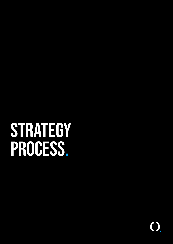# **STRATEGY** process.

 $\bigcirc$